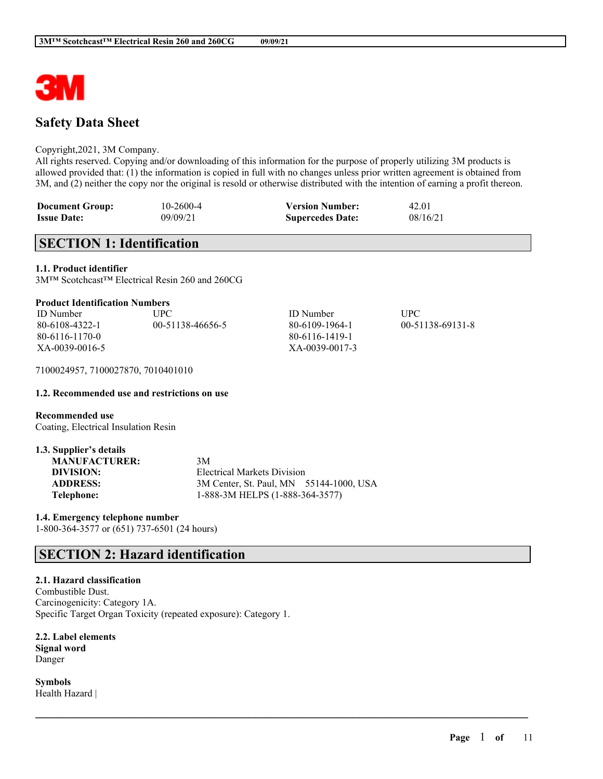

# **Safety Data Sheet**

### Copyright,2021, 3M Company.

All rights reserved. Copying and/or downloading of this information for the purpose of properly utilizing 3M products is allowed provided that: (1) the information is copied in full with no changes unless prior written agreement is obtained from 3M, and (2) neither the copy nor the original is resold or otherwise distributed with the intention of earning a profit thereon.

| <b>Document Group:</b> | 10-2600-4 | <b>Version Number:</b>  | 42.01    |
|------------------------|-----------|-------------------------|----------|
| <b>Issue Date:</b>     | 09/09/21  | <b>Supercedes Date:</b> | 08/16/21 |

# **SECTION 1: Identification**

**1.1. Product identifier**

3M™ Scotchcast™ Electrical Resin 260 and 260CG

## **Product Identification Numbers**

| <b>ID</b> Number | UPC-             | <b>ID</b> Number | UPC              |
|------------------|------------------|------------------|------------------|
| 80-6108-4322-1   | 00-51138-46656-5 | 80-6109-1964-1   | 00-51138-69131-8 |
| 80-6116-1170-0   |                  | 80-6116-1419-1   |                  |
| XA-0039-0016-5   |                  | XA-0039-0017-3   |                  |

 $\mathcal{L}_\mathcal{L} = \mathcal{L}_\mathcal{L} = \mathcal{L}_\mathcal{L} = \mathcal{L}_\mathcal{L} = \mathcal{L}_\mathcal{L} = \mathcal{L}_\mathcal{L} = \mathcal{L}_\mathcal{L} = \mathcal{L}_\mathcal{L} = \mathcal{L}_\mathcal{L} = \mathcal{L}_\mathcal{L} = \mathcal{L}_\mathcal{L} = \mathcal{L}_\mathcal{L} = \mathcal{L}_\mathcal{L} = \mathcal{L}_\mathcal{L} = \mathcal{L}_\mathcal{L} = \mathcal{L}_\mathcal{L} = \mathcal{L}_\mathcal{L}$ 

7100024957, 7100027870, 7010401010

### **1.2. Recommended use and restrictions on use**

**Recommended use** Coating, Electrical Insulation Resin

| 1.3. Supplier's details |                                         |  |
|-------------------------|-----------------------------------------|--|
| <b>MANUFACTURER:</b>    | 3M                                      |  |
| DIVISION:               | Electrical Markets Division             |  |
| <b>ADDRESS:</b>         | 3M Center, St. Paul, MN 55144-1000, USA |  |
| Telephone:              | 1-888-3M HELPS (1-888-364-3577)         |  |

**1.4. Emergency telephone number** 1-800-364-3577 or (651) 737-6501 (24 hours)

# **SECTION 2: Hazard identification**

## **2.1. Hazard classification**

Combustible Dust. Carcinogenicity: Category 1A. Specific Target Organ Toxicity (repeated exposure): Category 1.

**2.2. Label elements Signal word** Danger

**Symbols** Health Hazard |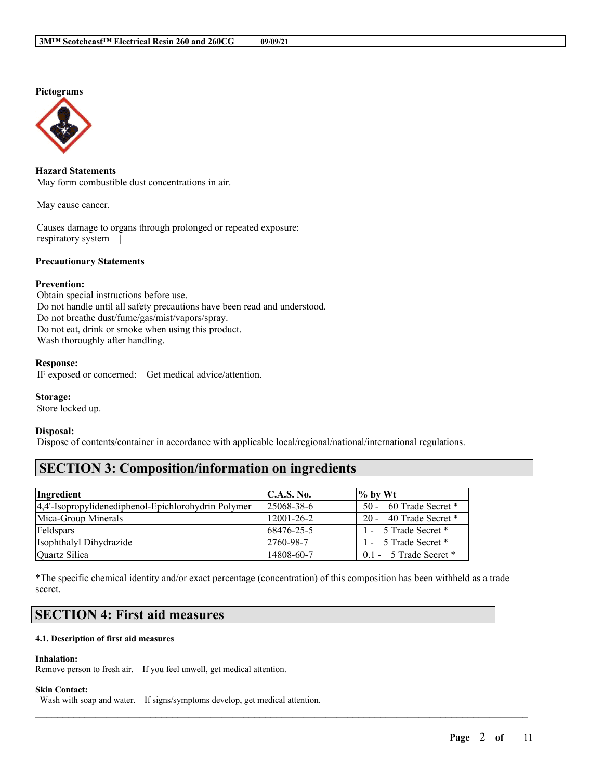## **Pictograms**



## **Hazard Statements**

May form combustible dust concentrations in air.

May cause cancer.

Causes damage to organs through prolonged or repeated exposure: respiratory system |

### **Precautionary Statements**

#### **Prevention:**

Obtain special instructions before use. Do not handle until all safety precautions have been read and understood. Do not breathe dust/fume/gas/mist/vapors/spray. Do not eat, drink or smoke when using this product. Wash thoroughly after handling.

#### **Response:**

IF exposed or concerned: Get medical advice/attention.

#### **Storage:**

Store locked up.

#### **Disposal:**

Dispose of contents/container in accordance with applicable local/regional/national/international regulations.

## **SECTION 3: Composition/information on ingredients**

| Ingredient                                          | C.A.S. No.        | $\frac{1}{6}$ by Wt      |
|-----------------------------------------------------|-------------------|--------------------------|
| 4,4'-Isopropylidenediphenol-Epichlorohydrin Polymer | $125068 - 38 - 6$ | 50 - 60 Trade Secret *   |
| Mica-Group Minerals                                 | 12001-26-2        | 20 - 40 Trade Secret *   |
| Feldspars                                           | 68476-25-5        | 1 - 5 Trade Secret *     |
| Isophthalyl Dihydrazide                             | 12760-98-7        | 1 - 5 Trade Secret *     |
| Quartz Silica                                       | 14808-60-7        | $0.1 - 5$ Trade Secret * |

\*The specific chemical identity and/or exact percentage (concentration) of this composition has been withheld as a trade secret.

 $\mathcal{L}_\mathcal{L} = \mathcal{L}_\mathcal{L} = \mathcal{L}_\mathcal{L} = \mathcal{L}_\mathcal{L} = \mathcal{L}_\mathcal{L} = \mathcal{L}_\mathcal{L} = \mathcal{L}_\mathcal{L} = \mathcal{L}_\mathcal{L} = \mathcal{L}_\mathcal{L} = \mathcal{L}_\mathcal{L} = \mathcal{L}_\mathcal{L} = \mathcal{L}_\mathcal{L} = \mathcal{L}_\mathcal{L} = \mathcal{L}_\mathcal{L} = \mathcal{L}_\mathcal{L} = \mathcal{L}_\mathcal{L} = \mathcal{L}_\mathcal{L}$ 

# **SECTION 4: First aid measures**

## **4.1. Description of first aid measures**

#### **Inhalation:**

Remove person to fresh air. If you feel unwell, get medical attention.

#### **Skin Contact:**

Wash with soap and water. If signs/symptoms develop, get medical attention.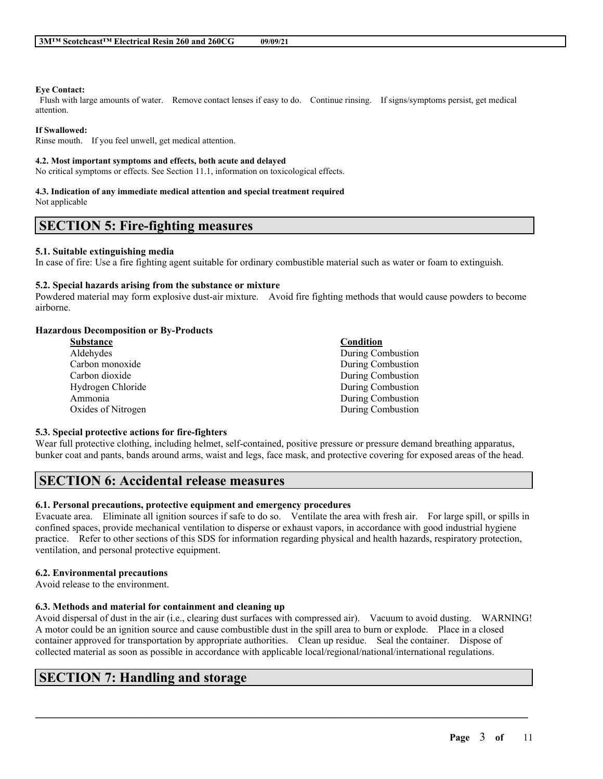#### **Eye Contact:**

Flush with large amounts of water. Remove contact lenses if easy to do. Continue rinsing. If signs/symptoms persist, get medical attention.

### **If Swallowed:**

Rinse mouth. If you feel unwell, get medical attention.

#### **4.2. Most important symptoms and effects, both acute and delayed**

No critical symptoms or effects. See Section 11.1, information on toxicological effects.

#### **4.3. Indication of any immediate medical attention and special treatment required**

Not applicable

## **SECTION 5: Fire-fighting measures**

#### **5.1. Suitable extinguishing media**

In case of fire: Use a fire fighting agent suitable for ordinary combustible material such as water or foam to extinguish.

#### **5.2. Special hazards arising from the substance or mixture**

Powdered material may form explosive dust-air mixture. Avoid fire fighting methods that would cause powders to become airborne.

### **Hazardous Decomposition or By-Products**

| Substance          | Condition         |
|--------------------|-------------------|
| Aldehydes          | During Combustion |
| Carbon monoxide    | During Combustion |
| Carbon dioxide     | During Combustion |
| Hydrogen Chloride  | During Combustion |
| Ammonia            | During Combustion |
| Oxides of Nitrogen | During Combustion |
|                    |                   |

### **5.3. Special protective actions for fire-fighters**

Wear full protective clothing, including helmet, self-contained, positive pressure or pressure demand breathing apparatus, bunker coat and pants, bands around arms, waist and legs, face mask, and protective covering for exposed areas of the head.

# **SECTION 6: Accidental release measures**

### **6.1. Personal precautions, protective equipment and emergency procedures**

Evacuate area. Eliminate all ignition sources if safe to do so. Ventilate the area with fresh air. For large spill, or spills in confined spaces, provide mechanical ventilation to disperse or exhaust vapors, in accordance with good industrial hygiene practice. Refer to other sections of this SDS for information regarding physical and health hazards, respiratory protection, ventilation, and personal protective equipment.

### **6.2. Environmental precautions**

Avoid release to the environment.

### **6.3. Methods and material for containment and cleaning up**

Avoid dispersal of dust in the air (i.e., clearing dust surfaces with compressed air). Vacuum to avoid dusting. WARNING! A motor could be an ignition source and cause combustible dust in the spill area to burn or explode. Place in a closed container approved for transportation by appropriate authorities. Clean up residue. Seal the container. Dispose of collected material as soon as possible in accordance with applicable local/regional/national/international regulations.

 $\mathcal{L}_\mathcal{L} = \mathcal{L}_\mathcal{L} = \mathcal{L}_\mathcal{L} = \mathcal{L}_\mathcal{L} = \mathcal{L}_\mathcal{L} = \mathcal{L}_\mathcal{L} = \mathcal{L}_\mathcal{L} = \mathcal{L}_\mathcal{L} = \mathcal{L}_\mathcal{L} = \mathcal{L}_\mathcal{L} = \mathcal{L}_\mathcal{L} = \mathcal{L}_\mathcal{L} = \mathcal{L}_\mathcal{L} = \mathcal{L}_\mathcal{L} = \mathcal{L}_\mathcal{L} = \mathcal{L}_\mathcal{L} = \mathcal{L}_\mathcal{L}$ 

# **SECTION 7: Handling and storage**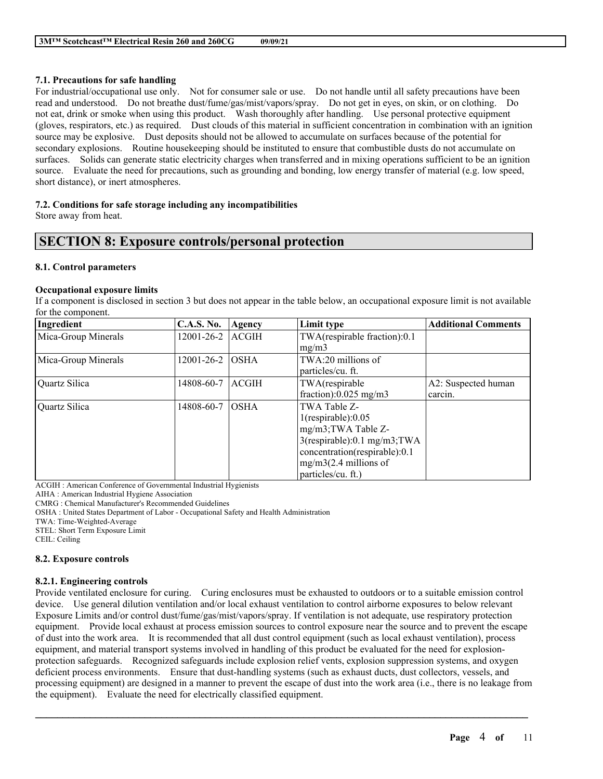## **7.1. Precautions for safe handling**

For industrial/occupational use only. Not for consumer sale or use. Do not handle until all safety precautions have been read and understood. Do not breathe dust/fume/gas/mist/vapors/spray. Do not get in eyes, on skin, or on clothing. Do not eat, drink or smoke when using this product. Wash thoroughly after handling. Use personal protective equipment (gloves, respirators, etc.) as required. Dust clouds of this material in sufficient concentration in combination with an ignition source may be explosive. Dust deposits should not be allowed to accumulate on surfaces because of the potential for secondary explosions. Routine housekeeping should be instituted to ensure that combustible dusts do not accumulate on surfaces. Solids can generate static electricity charges when transferred and in mixing operations sufficient to be an ignition source. Evaluate the need for precautions, such as grounding and bonding, low energy transfer of material (e.g. low speed, short distance), or inert atmospheres.

## **7.2. Conditions for safe storage including any incompatibilities**

Store away from heat.

# **SECTION 8: Exposure controls/personal protection**

## **8.1. Control parameters**

## **Occupational exposure limits**

If a component is disclosed in section 3 but does not appear in the table below, an occupational exposure limit is not available for the component.

| Ingredient          | <b>C.A.S. No.</b> | Agency       | Limit type                     | <b>Additional Comments</b> |
|---------------------|-------------------|--------------|--------------------------------|----------------------------|
| Mica-Group Minerals | 12001-26-2        | <b>ACGIH</b> | TWA(respirable fraction):0.1   |                            |
|                     |                   |              | mg/m3                          |                            |
| Mica-Group Minerals | 12001-26-2        | <b>OSHA</b>  | TWA:20 millions of             |                            |
|                     |                   |              | particles/cu. ft.              |                            |
| Quartz Silica       | 14808-60-7        | <b>ACGIH</b> | TWA(respirable                 | A2: Suspected human        |
|                     |                   |              | fraction): $0.025$ mg/m3       | carcin.                    |
| Quartz Silica       | 14808-60-7        | <b>OSHA</b>  | TWA Table Z-                   |                            |
|                     |                   |              | $1$ (respirable): $0.05$       |                            |
|                     |                   |              | mg/m3;TWA Table Z-             |                            |
|                     |                   |              | $3$ (respirable):0.1 mg/m3;TWA |                            |
|                     |                   |              | concentration(respirable):0.1  |                            |
|                     |                   |              | $mg/m3(2.4$ millions of        |                            |
|                     |                   |              | particles/cu. ft.)             |                            |

ACGIH : American Conference of Governmental Industrial Hygienists

AIHA : American Industrial Hygiene Association

CMRG : Chemical Manufacturer's Recommended Guidelines

OSHA : United States Department of Labor - Occupational Safety and Health Administration

TWA: Time-Weighted-Average

STEL: Short Term Exposure Limit

CEIL: Ceiling

## **8.2. Exposure controls**

## **8.2.1. Engineering controls**

Provide ventilated enclosure for curing. Curing enclosures must be exhausted to outdoors or to a suitable emission control device. Use general dilution ventilation and/or local exhaust ventilation to control airborne exposures to below relevant Exposure Limits and/or control dust/fume/gas/mist/vapors/spray. If ventilation is not adequate, use respiratory protection equipment. Provide local exhaust at process emission sources to control exposure near the source and to prevent the escape of dust into the work area. It is recommended that all dust control equipment (such as local exhaust ventilation), process equipment, and material transport systems involved in handling of this product be evaluated for the need for explosionprotection safeguards. Recognized safeguards include explosion relief vents, explosion suppression systems, and oxygen deficient process environments. Ensure that dust-handling systems (such as exhaust ducts, dust collectors, vessels, and processing equipment) are designed in a manner to prevent the escape of dust into the work area (i.e., there is no leakage from the equipment). Evaluate the need for electrically classified equipment.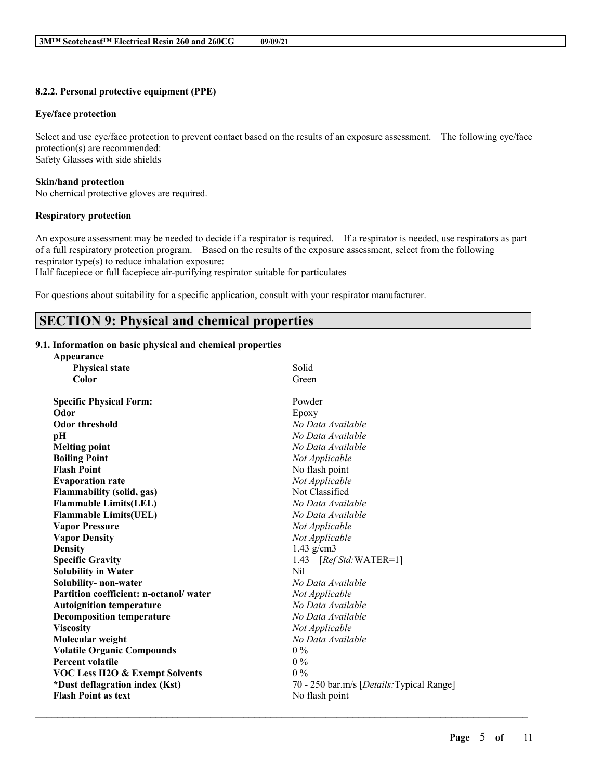## **8.2.2. Personal protective equipment (PPE)**

#### **Eye/face protection**

Select and use eye/face protection to prevent contact based on the results of an exposure assessment. The following eye/face protection(s) are recommended: Safety Glasses with side shields

#### **Skin/hand protection**

No chemical protective gloves are required.

## **Respiratory protection**

An exposure assessment may be needed to decide if a respirator is required. If a respirator is needed, use respirators as part of a full respiratory protection program. Based on the results of the exposure assessment, select from the following respirator type(s) to reduce inhalation exposure:

Half facepiece or full facepiece air-purifying respirator suitable for particulates

For questions about suitability for a specific application, consult with your respirator manufacturer.

# **SECTION 9: Physical and chemical properties**

### **9.1. Information on basic physical and chemical properties**

| Appearance                                |                                                    |
|-------------------------------------------|----------------------------------------------------|
| <b>Physical state</b>                     | Solid                                              |
| Color                                     | Green                                              |
| <b>Specific Physical Form:</b>            | Powder                                             |
| Odor                                      | Epoxy                                              |
| <b>Odor threshold</b>                     | No Data Available                                  |
| pН                                        | No Data Available                                  |
| <b>Melting point</b>                      | No Data Available                                  |
| <b>Boiling Point</b>                      | Not Applicable                                     |
| <b>Flash Point</b>                        | No flash point                                     |
| <b>Evaporation rate</b>                   | Not Applicable                                     |
| <b>Flammability (solid, gas)</b>          | Not Classified                                     |
| <b>Flammable Limits(LEL)</b>              | No Data Available                                  |
| <b>Flammable Limits(UEL)</b>              | No Data Available                                  |
| <b>Vapor Pressure</b>                     | Not Applicable                                     |
| <b>Vapor Density</b>                      | Not Applicable                                     |
| <b>Density</b>                            | $1.43$ g/cm3                                       |
| <b>Specific Gravity</b>                   | 1.43 $[RefStd:WATER=1]$                            |
| <b>Solubility in Water</b>                | Nil                                                |
| Solubility- non-water                     | No Data Available                                  |
| Partition coefficient: n-octanol/water    | Not Applicable                                     |
| <b>Autoignition temperature</b>           | No Data Available                                  |
| <b>Decomposition temperature</b>          | No Data Available                                  |
| <b>Viscosity</b>                          | Not Applicable                                     |
| Molecular weight                          | No Data Available                                  |
| <b>Volatile Organic Compounds</b>         | $0\%$                                              |
| <b>Percent volatile</b>                   | $0\%$                                              |
| <b>VOC Less H2O &amp; Exempt Solvents</b> | $0\%$                                              |
| *Dust deflagration index (Kst)            | 70 - 250 bar.m/s [ <i>Details</i> : Typical Range] |
| <b>Flash Point as text</b>                | No flash point                                     |
|                                           |                                                    |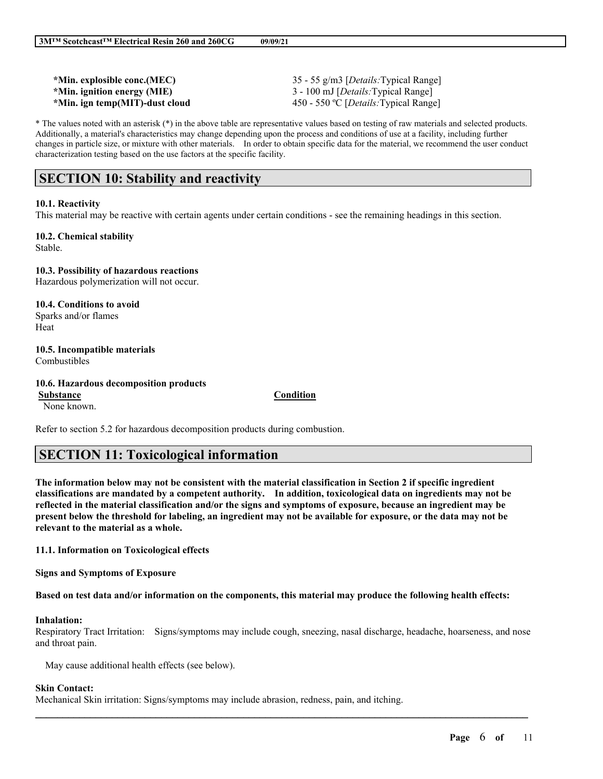| *Min. explosible conc.(MEC)    | 35 - 55 g/m3 [ <i>Details:</i> Typical Range]  |
|--------------------------------|------------------------------------------------|
| *Min. ignition energy (MIE)    | 3 - 100 mJ [ <i>Details</i> : Typical Range]   |
| *Min. ign temp(MIT)-dust cloud | 450 - 550 °C [ <i>Details</i> : Typical Range] |

\* The values noted with an asterisk (\*) in the above table are representative values based on testing of raw materials and selected products. Additionally, a material's characteristics may change depending upon the process and conditions of use at a facility, including further changes in particle size, or mixture with other materials. In order to obtain specific data for the material, we recommend the user conduct characterization testing based on the use factors at the specific facility.

# **SECTION 10: Stability and reactivity**

#### **10.1. Reactivity**

This material may be reactive with certain agents under certain conditions - see the remaining headings in this section.

#### **10.2. Chemical stability** Stable.

**10.3. Possibility of hazardous reactions** Hazardous polymerization will not occur.

**10.4. Conditions to avoid** Sparks and/or flames Heat

**10.5. Incompatible materials**

Combustibles

**10.6. Hazardous decomposition products**

**Substance Condition** None known.

Refer to section 5.2 for hazardous decomposition products during combustion.

# **SECTION 11: Toxicological information**

The information below may not be consistent with the material classification in Section 2 if specific ingredient **classifications are mandated by a competent authority. In addition, toxicological data on ingredients may not be** reflected in the material classification and/or the signs and symptoms of exposure, because an ingredient may be present below the threshold for labeling, an ingredient may not be available for exposure, or the data may not be **relevant to the material as a whole.**

**11.1. Information on Toxicological effects**

**Signs and Symptoms of Exposure**

Based on test data and/or information on the components, this material may produce the following health effects:

#### **Inhalation:**

Respiratory Tract Irritation: Signs/symptoms may include cough, sneezing, nasal discharge, headache, hoarseness, and nose and throat pain.

 $\mathcal{L}_\mathcal{L} = \mathcal{L}_\mathcal{L} = \mathcal{L}_\mathcal{L} = \mathcal{L}_\mathcal{L} = \mathcal{L}_\mathcal{L} = \mathcal{L}_\mathcal{L} = \mathcal{L}_\mathcal{L} = \mathcal{L}_\mathcal{L} = \mathcal{L}_\mathcal{L} = \mathcal{L}_\mathcal{L} = \mathcal{L}_\mathcal{L} = \mathcal{L}_\mathcal{L} = \mathcal{L}_\mathcal{L} = \mathcal{L}_\mathcal{L} = \mathcal{L}_\mathcal{L} = \mathcal{L}_\mathcal{L} = \mathcal{L}_\mathcal{L}$ 

May cause additional health effects (see below).

### **Skin Contact:**

Mechanical Skin irritation: Signs/symptoms may include abrasion, redness, pain, and itching.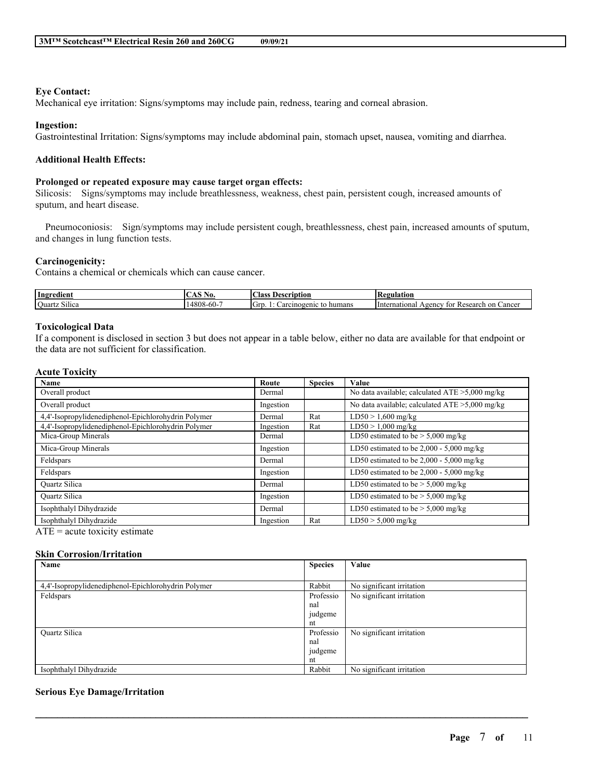## **Eye Contact:**

Mechanical eye irritation: Signs/symptoms may include pain, redness, tearing and corneal abrasion.

### **Ingestion:**

Gastrointestinal Irritation: Signs/symptoms may include abdominal pain, stomach upset, nausea, vomiting and diarrhea.

## **Additional Health Effects:**

### **Prolonged or repeated exposure may cause target organ effects:**

Silicosis: Signs/symptoms may include breathlessness, weakness, chest pain, persistent cough, increased amounts of sputum, and heart disease.

Pneumoconiosis: Sign/symptoms may include persistent cough, breathlessness, chest pain, increased amounts of sputum, and changes in lung function tests.

## **Carcinogenicity:**

Contains a chemical or chemicals which can cause cancer.

| Ingredient                                     | 49 U.                      | Aass<br>scription<br>1 J e       | tegulation.<br>лc                                                                 |
|------------------------------------------------|----------------------------|----------------------------------|-----------------------------------------------------------------------------------|
| <b>CALL 1-1-1</b><br><b>Ouartz</b><br>: Silica | $\sim$<br>$4808 -$<br>-00- | humans<br>arcinogenic<br>АТ<br>Ю | ∠ancer<br>. on<br>International<br>Research<br>A <sub>gencv</sub><br>tor<br>∙ K⊾. |

## **Toxicological Data**

If a component is disclosed in section 3 but does not appear in a table below, either no data are available for that endpoint or the data are not sufficient for classification.

### **Acute Toxicity**

| <b>Name</b>                                         | Route     | <b>Species</b> | Value                                             |
|-----------------------------------------------------|-----------|----------------|---------------------------------------------------|
| Overall product                                     | Dermal    |                | No data available; calculated $ATE > 5,000$ mg/kg |
| Overall product                                     | Ingestion |                | No data available; calculated ATE >5,000 mg/kg    |
| 4,4'-Isopropylidenediphenol-Epichlorohydrin Polymer | Dermal    | Rat            | $LD50 > 1,600$ mg/kg                              |
| 4,4'-Isopropylidenediphenol-Epichlorohydrin Polymer | Ingestion | Rat            | $LD50 > 1,000$ mg/kg                              |
| Mica-Group Minerals                                 | Dermal    |                | LD50 estimated to be $> 5,000$ mg/kg              |
| Mica-Group Minerals                                 | Ingestion |                | LD50 estimated to be $2,000 - 5,000$ mg/kg        |
| Feldspars                                           | Dermal    |                | LD50 estimated to be $2,000 - 5,000$ mg/kg        |
| Feldspars                                           | Ingestion |                | LD50 estimated to be $2,000 - 5,000$ mg/kg        |
| <b>Ouartz Silica</b>                                | Dermal    |                | LD50 estimated to be $> 5,000$ mg/kg              |
| <b>Ouartz Silica</b>                                | Ingestion |                | LD50 estimated to be $> 5,000$ mg/kg              |
| Isophthalyl Dihydrazide                             | Dermal    |                | LD50 estimated to be $> 5,000$ mg/kg              |
| Isophthalyl Dihydrazide                             | Ingestion | Rat            | $LD50 > 5,000$ mg/kg                              |

 $ATE = acute$  toxicity estimate

### **Skin Corrosion/Irritation**

| Name                                                | <b>Species</b> | Value                     |
|-----------------------------------------------------|----------------|---------------------------|
|                                                     |                |                           |
| 4,4'-Isopropylidenediphenol-Epichlorohydrin Polymer | Rabbit         | No significant irritation |
| Feldspars                                           | Professio      | No significant irritation |
|                                                     | nal            |                           |
|                                                     | judgeme        |                           |
|                                                     | nt             |                           |
| <b>Ouartz Silica</b>                                | Professio      | No significant irritation |
|                                                     | nal            |                           |
|                                                     | judgeme        |                           |
|                                                     | nt             |                           |
| Isophthalyl Dihydrazide                             | Rabbit         | No significant irritation |

 $\mathcal{L}_\mathcal{L} = \mathcal{L}_\mathcal{L} = \mathcal{L}_\mathcal{L} = \mathcal{L}_\mathcal{L} = \mathcal{L}_\mathcal{L} = \mathcal{L}_\mathcal{L} = \mathcal{L}_\mathcal{L} = \mathcal{L}_\mathcal{L} = \mathcal{L}_\mathcal{L} = \mathcal{L}_\mathcal{L} = \mathcal{L}_\mathcal{L} = \mathcal{L}_\mathcal{L} = \mathcal{L}_\mathcal{L} = \mathcal{L}_\mathcal{L} = \mathcal{L}_\mathcal{L} = \mathcal{L}_\mathcal{L} = \mathcal{L}_\mathcal{L}$ 

## **Serious Eye Damage/Irritation**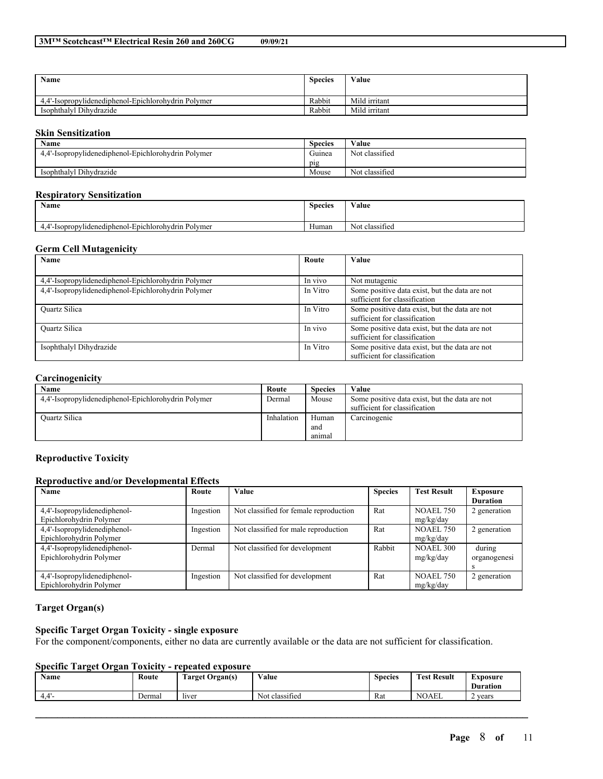| Name                                                | <b>Species</b> | Value         |
|-----------------------------------------------------|----------------|---------------|
| 4.4'-Isopropylidenediphenol-Epichlorohydrin Polymer | Rabbit         | Mild irritant |
| Isophthalyl Dihydrazide                             | Rabbit         | Mild irritant |

## **Skin Sensitization**

| Name                                                | <b>Species</b> | Value                            |
|-----------------------------------------------------|----------------|----------------------------------|
| 4,4'-Isopropylidenediphenol-Epichlorohydrin Polymer | Guinea         | Not classified                   |
|                                                     | pig            |                                  |
| Isophthalyl Dihydrazide                             | Mouse          | $\cdot$ $\sim$<br>Not classified |

## **Respiratory Sensitization**

| $\rightarrow$<br>Name                              |       | Value                    |
|----------------------------------------------------|-------|--------------------------|
| .4'-Isopropylidenediphenol-Epichlorohydrin Polymer | Human | $\sim$<br>Not classified |

### **Germ Cell Mutagenicity**

| Name                                                | Route    | Value                                                                           |
|-----------------------------------------------------|----------|---------------------------------------------------------------------------------|
|                                                     |          |                                                                                 |
| 4,4'-Isopropylidenediphenol-Epichlorohydrin Polymer | In vivo  | Not mutagenic                                                                   |
| 4,4'-Isopropylidenediphenol-Epichlorohydrin Polymer | In Vitro | Some positive data exist, but the data are not<br>sufficient for classification |
| <b>Ouartz Silica</b>                                | In Vitro | Some positive data exist, but the data are not<br>sufficient for classification |
| <b>Ouartz Silica</b>                                | In vivo  | Some positive data exist, but the data are not<br>sufficient for classification |
| Isophthalyl Dihydrazide                             | In Vitro | Some positive data exist, but the data are not<br>sufficient for classification |

### **Carcinogenicity**

| -                                                   |            |                |                                                |
|-----------------------------------------------------|------------|----------------|------------------------------------------------|
| Name                                                | Route      | <b>Species</b> | Value                                          |
| 4.4'-Isopropylidenediphenol-Epichlorohydrin Polymer | Dermal     | Mouse          | Some positive data exist, but the data are not |
|                                                     |            |                | sufficient for classification                  |
| <b>Ouartz Silica</b>                                | Inhalation | Human          | Carcinogenic                                   |
|                                                     |            | and            |                                                |
|                                                     |            | anımal         |                                                |

## **Reproductive Toxicity**

### **Reproductive and/or Developmental Effects**

| Name                         | Route     | <b>Value</b>                           | <b>Species</b> | <b>Test Result</b> | Exposure        |
|------------------------------|-----------|----------------------------------------|----------------|--------------------|-----------------|
|                              |           |                                        |                |                    | <b>Duration</b> |
| 4,4'-Isopropylidenediphenol- | Ingestion | Not classified for female reproduction | Rat            | NOAEL 750          | 2 generation    |
| Epichlorohydrin Polymer      |           |                                        |                | mg/kg/day          |                 |
| 4,4'-Isopropylidenediphenol- | Ingestion | Not classified for male reproduction   | Rat            | <b>NOAEL 750</b>   | 2 generation    |
| Epichlorohydrin Polymer      |           |                                        |                | mg/kg/day          |                 |
| 4,4'-Isopropylidenediphenol- | Dermal    | Not classified for development         | Rabbit         | <b>NOAEL 300</b>   | during          |
| Epichlorohydrin Polymer      |           |                                        |                | mg/kg/day          | organogenesi    |
|                              |           |                                        |                |                    | s               |
| 4,4'-Isopropylidenediphenol- | Ingestion | Not classified for development         | Rat            | <b>NOAEL 750</b>   | 2 generation    |
| Epichlorohydrin Polymer      |           |                                        |                | mg/kg/day          |                 |

## **Target Organ(s)**

## **Specific Target Organ Toxicity - single exposure**

For the component/components, either no data are currently available or the data are not sufficient for classification.

## **Specific Target Organ Toxicity - repeated exposure**

| <b>Name</b>         | Route  | <b>CONTRACTOR</b><br><b>farget Organ(s)</b> | Value                    | <b>Species</b> | <b>CONTRACTOR</b><br><b>Fest Result</b> | Exposure<br><b>Duration</b> |
|---------------------|--------|---------------------------------------------|--------------------------|----------------|-----------------------------------------|-----------------------------|
| $\mathbf{A}$<br>44. | Dermal | <i>liver</i>                                | $\sim$<br>Not classified | Rat            | <b>NOAEL</b>                            | vears                       |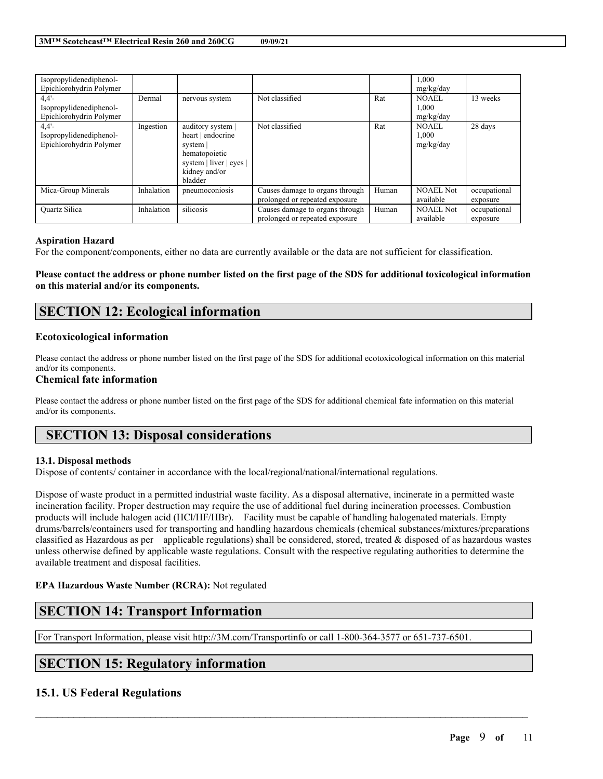| Isopropylidenediphenol-<br>Epichlorohydrin Polymer         |            |                                                                                                                            |                                                                   |       | 1,000<br>mg/kg/day            |                          |
|------------------------------------------------------------|------------|----------------------------------------------------------------------------------------------------------------------------|-------------------------------------------------------------------|-------|-------------------------------|--------------------------|
| 4.4'<br>Isopropylidenediphenol-<br>Epichlorohydrin Polymer | Dermal     | nervous system                                                                                                             | Not classified                                                    | Rat   | NOAEL<br>1,000<br>mg/kg/day   | 13 weeks                 |
| 4.4'<br>Isopropylidenediphenol-<br>Epichlorohydrin Polymer | Ingestion  | auditory system  <br>heart   endocrine<br>system  <br>hematopoietic<br>system   liver   eyes  <br>kidney and/or<br>bladder | Not classified                                                    | Rat   | NOAEL.<br>1,000<br>mg/kg/day  | 28 days                  |
| Mica-Group Minerals                                        | Inhalation | pneumoconiosis                                                                                                             | Causes damage to organs through<br>prolonged or repeated exposure | Human | <b>NOAEL Not</b><br>available | occupational<br>exposure |
| <b>Ouartz Silica</b>                                       | Inhalation | silicosis                                                                                                                  | Causes damage to organs through<br>prolonged or repeated exposure | Human | <b>NOAEL Not</b><br>available | occupational<br>exposure |

### **Aspiration Hazard**

For the component/components, either no data are currently available or the data are not sufficient for classification.

Please contact the address or phone number listed on the first page of the SDS for additional toxicological information **on this material and/or its components.**

# **SECTION 12: Ecological information**

### **Ecotoxicological information**

Please contact the address or phone number listed on the first page of the SDS for additional ecotoxicological information on this material and/or its components.

## **Chemical fate information**

Please contact the address or phone number listed on the first page of the SDS for additional chemical fate information on this material and/or its components.

# **SECTION 13: Disposal considerations**

### **13.1. Disposal methods**

Dispose of contents/ container in accordance with the local/regional/national/international regulations.

Dispose of waste product in a permitted industrial waste facility. As a disposal alternative, incinerate in a permitted waste incineration facility. Proper destruction may require the use of additional fuel during incineration processes. Combustion products will include halogen acid (HCl/HF/HBr). Facility must be capable of handling halogenated materials. Empty drums/barrels/containers used for transporting and handling hazardous chemicals (chemical substances/mixtures/preparations classified as Hazardous as per applicable regulations) shall be considered, stored, treated  $\&$  disposed of as hazardous wastes unless otherwise defined by applicable waste regulations. Consult with the respective regulating authorities to determine the available treatment and disposal facilities.

 $\mathcal{L}_\mathcal{L} = \mathcal{L}_\mathcal{L} = \mathcal{L}_\mathcal{L} = \mathcal{L}_\mathcal{L} = \mathcal{L}_\mathcal{L} = \mathcal{L}_\mathcal{L} = \mathcal{L}_\mathcal{L} = \mathcal{L}_\mathcal{L} = \mathcal{L}_\mathcal{L} = \mathcal{L}_\mathcal{L} = \mathcal{L}_\mathcal{L} = \mathcal{L}_\mathcal{L} = \mathcal{L}_\mathcal{L} = \mathcal{L}_\mathcal{L} = \mathcal{L}_\mathcal{L} = \mathcal{L}_\mathcal{L} = \mathcal{L}_\mathcal{L}$ 

## **EPA Hazardous Waste Number (RCRA):** Not regulated

# **SECTION 14: Transport Information**

For Transport Information, please visit http://3M.com/Transportinfo or call 1-800-364-3577 or 651-737-6501.

# **SECTION 15: Regulatory information**

## **15.1. US Federal Regulations**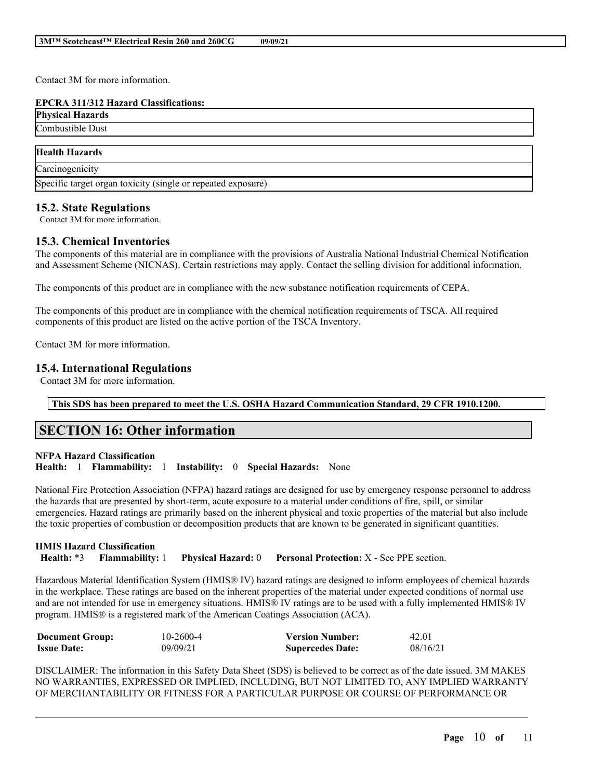Contact 3M for more information.

## **EPCRA 311/312 Hazard Classifications:**

| <b>Physical Hazards</b>   |  |  |
|---------------------------|--|--|
| Combus<br>Dust<br>istidie |  |  |
|                           |  |  |

## **Health Hazards**

**Carcinogenicity** 

Specific target organ toxicity (single or repeated exposure)

## **15.2. State Regulations**

Contact 3M for more information.

## **15.3. Chemical Inventories**

The components of this material are in compliance with the provisions of Australia National Industrial Chemical Notification and Assessment Scheme (NICNAS). Certain restrictions may apply. Contact the selling division for additional information.

The components of this product are in compliance with the new substance notification requirements of CEPA.

The components of this product are in compliance with the chemical notification requirements of TSCA. All required components of this product are listed on the active portion of the TSCA Inventory.

Contact 3M for more information.

## **15.4. International Regulations**

Contact 3M for more information.

## **This SDS has been prepared to meet the U.S. OSHA Hazard Communication Standard, 29 CFR 1910.1200.**

# **SECTION 16: Other information**

## **NFPA Hazard Classification Health:** 1 **Flammability:** 1 **Instability:** 0 **Special Hazards:** None

National Fire Protection Association (NFPA) hazard ratings are designed for use by emergency response personnel to address the hazards that are presented by short-term, acute exposure to a material under conditions of fire, spill, or similar emergencies. Hazard ratings are primarily based on the inherent physical and toxic properties of the material but also include the toxic properties of combustion or decomposition products that are known to be generated in significant quantities.

## **HMIS Hazard Classification Health:** \*3 **Flammability:** 1 **Physical Hazard:** 0 **Personal Protection:** X - See PPE section.

Hazardous Material Identification System (HMIS® IV) hazard ratings are designed to inform employees of chemical hazards in the workplace. These ratings are based on the inherent properties of the material under expected conditions of normal use and are not intended for use in emergency situations. HMIS® IV ratings are to be used with a fully implemented HMIS® IV program. HMIS® is a registered mark of the American Coatings Association (ACA).

| <b>Document Group:</b> | 10-2600-4 | <b>Version Number:</b>  | 42.01    |
|------------------------|-----------|-------------------------|----------|
| <b>Issue Date:</b>     | 09/09/21  | <b>Supercedes Date:</b> | 08/16/21 |

DISCLAIMER: The information in this Safety Data Sheet (SDS) is believed to be correct as of the date issued. 3M MAKES NO WARRANTIES, EXPRESSED OR IMPLIED, INCLUDING, BUT NOT LIMITED TO, ANY IMPLIED WARRANTY OF MERCHANTABILITY OR FITNESS FOR A PARTICULAR PURPOSE OR COURSE OF PERFORMANCE OR